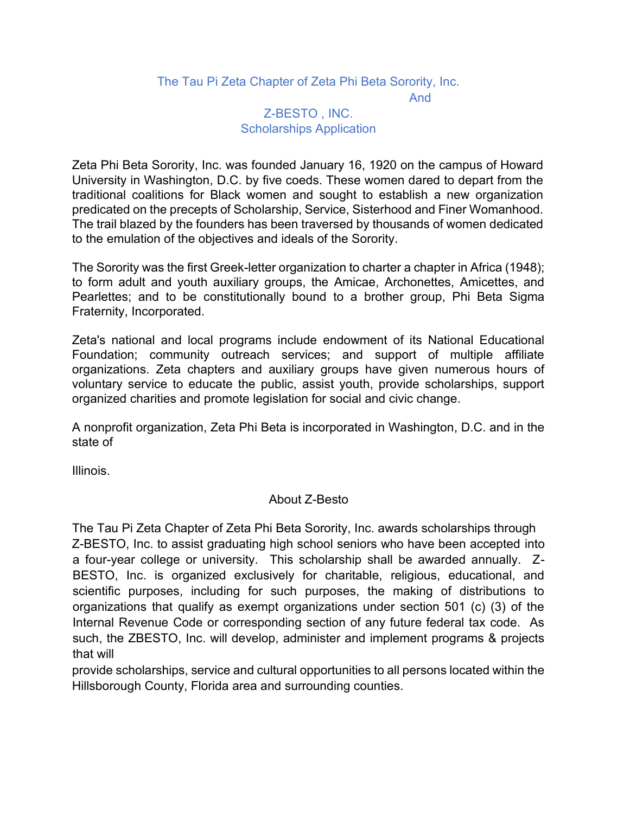#### The Tau Pi Zeta Chapter of Zeta Phi Beta Sorority, Inc.

And

#### Z-BESTO , INC. Scholarships Application

Zeta Phi Beta Sorority, Inc. was founded January 16, 1920 on the campus of Howard University in Washington, D.C. by five coeds. These women dared to depart from the traditional coalitions for Black women and sought to establish a new organization predicated on the precepts of Scholarship, Service, Sisterhood and Finer Womanhood. The trail blazed by the founders has been traversed by thousands of women dedicated to the emulation of the objectives and ideals of the Sorority.

The Sorority was the first Greek-letter organization to charter a chapter in Africa (1948); to form adult and youth auxiliary groups, the Amicae, Archonettes, Amicettes, and Pearlettes; and to be constitutionally bound to a brother group, Phi Beta Sigma Fraternity, Incorporated.

Zeta's national and local programs include endowment of its National Educational Foundation; community outreach services; and support of multiple affiliate organizations. Zeta chapters and auxiliary groups have given numerous hours of voluntary service to educate the public, assist youth, provide scholarships, support organized charities and promote legislation for social and civic change.

A nonprofit organization, Zeta Phi Beta is incorporated in Washington, D.C. and in the state of

Illinois.

#### About Z-Besto

The Tau Pi Zeta Chapter of Zeta Phi Beta Sorority, Inc. awards scholarships through Z-BESTO, Inc. to assist graduating high school seniors who have been accepted into a four-year college or university. This scholarship shall be awarded annually. Z-BESTO, Inc. is organized exclusively for charitable, religious, educational, and scientific purposes, including for such purposes, the making of distributions to organizations that qualify as exempt organizations under section 501 (c) (3) of the Internal Revenue Code or corresponding section of any future federal tax code. As such, the ZBESTO, Inc. will develop, administer and implement programs & projects that will

provide scholarships, service and cultural opportunities to all persons located within the Hillsborough County, Florida area and surrounding counties.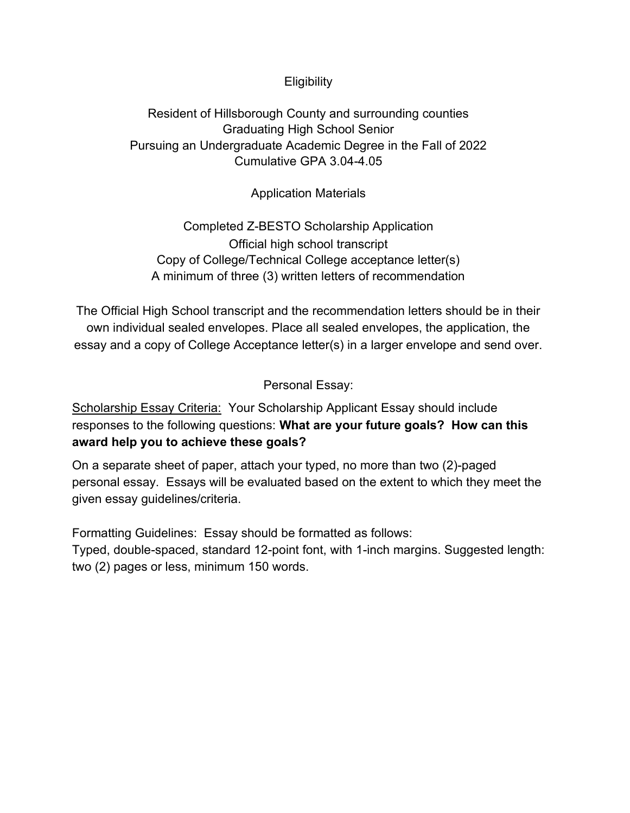## **Eligibility**

## Resident of Hillsborough County and surrounding counties Graduating High School Senior Pursuing an Undergraduate Academic Degree in the Fall of 2022 Cumulative GPA 3.04-4.05

Application Materials

Completed Z-BESTO Scholarship Application Official high school transcript Copy of College/Technical College acceptance letter(s) A minimum of three (3) written letters of recommendation

The Official High School transcript and the recommendation letters should be in their own individual sealed envelopes. Place all sealed envelopes, the application, the essay and a copy of College Acceptance letter(s) in a larger envelope and send over.

Personal Essay:

Scholarship Essay Criteria: Your Scholarship Applicant Essay should include responses to the following questions: **What are your future goals? How can this award help you to achieve these goals?**

On a separate sheet of paper, attach your typed, no more than two (2)-paged personal essay. Essays will be evaluated based on the extent to which they meet the given essay guidelines/criteria.

Formatting Guidelines: Essay should be formatted as follows:

Typed, double-spaced, standard 12-point font, with 1-inch margins. Suggested length: two (2) pages or less, minimum 150 words.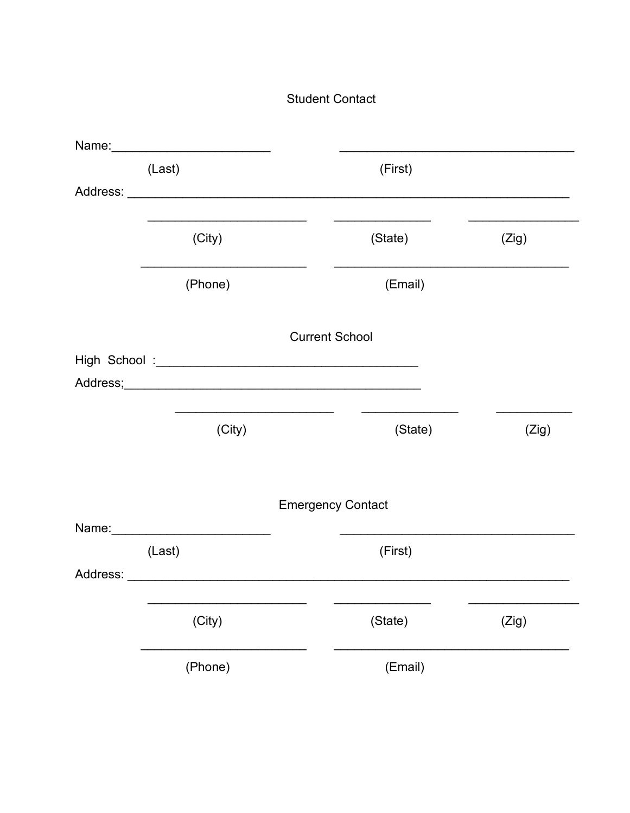## **Student Contact**

| Name: Name:                                                                                                                                                                                                                    |                          |       |
|--------------------------------------------------------------------------------------------------------------------------------------------------------------------------------------------------------------------------------|--------------------------|-------|
| (Last)                                                                                                                                                                                                                         | (First)                  |       |
|                                                                                                                                                                                                                                |                          |       |
| (City)                                                                                                                                                                                                                         | (State)                  | (Zig) |
| (Phone)                                                                                                                                                                                                                        | (Email)                  |       |
|                                                                                                                                                                                                                                | <b>Current School</b>    |       |
|                                                                                                                                                                                                                                |                          |       |
|                                                                                                                                                                                                                                |                          |       |
| (City)                                                                                                                                                                                                                         | (State)                  | (Zig) |
|                                                                                                                                                                                                                                | <b>Emergency Contact</b> |       |
|                                                                                                                                                                                                                                |                          |       |
| (Last)                                                                                                                                                                                                                         | (First)                  |       |
| Address: Analysis and the contract of the contract of the contract of the contract of the contract of the contract of the contract of the contract of the contract of the contract of the contract of the contract of the cont |                          |       |
| (City)                                                                                                                                                                                                                         | (State)                  | (Zig) |
| (Phone)                                                                                                                                                                                                                        | (Email)                  |       |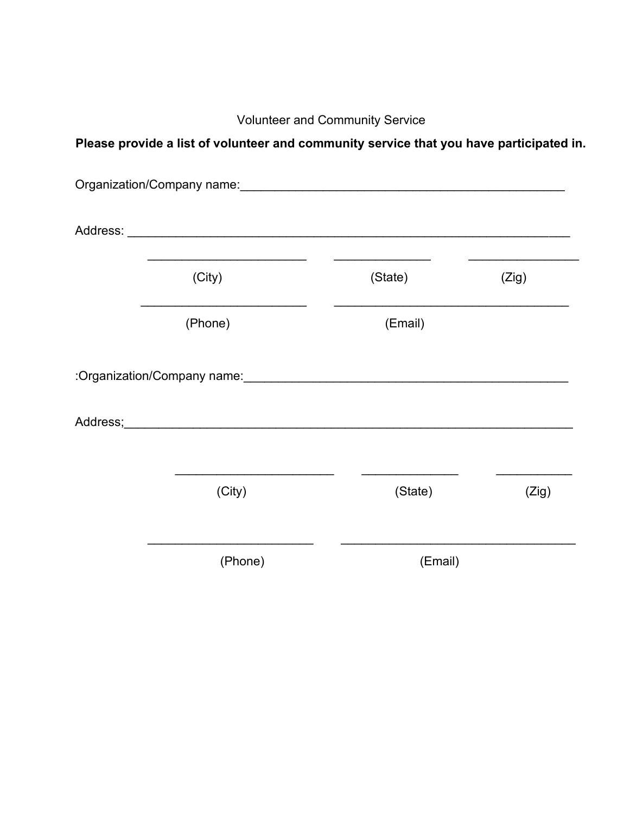Volunteer and Community Service

# **Please provide a list of volunteer and community service that you have participated in.**

| Organization/Company name: \\ower{\bmg \\omagnitide}} |         |       |
|-------------------------------------------------------|---------|-------|
|                                                       |         |       |
| (City)                                                | (State) | (Zig) |
| (Phone)                                               | (Email) |       |
|                                                       |         |       |
|                                                       |         |       |
| (City)                                                | (State) | (Zig) |
| (Phone)                                               | (Email) |       |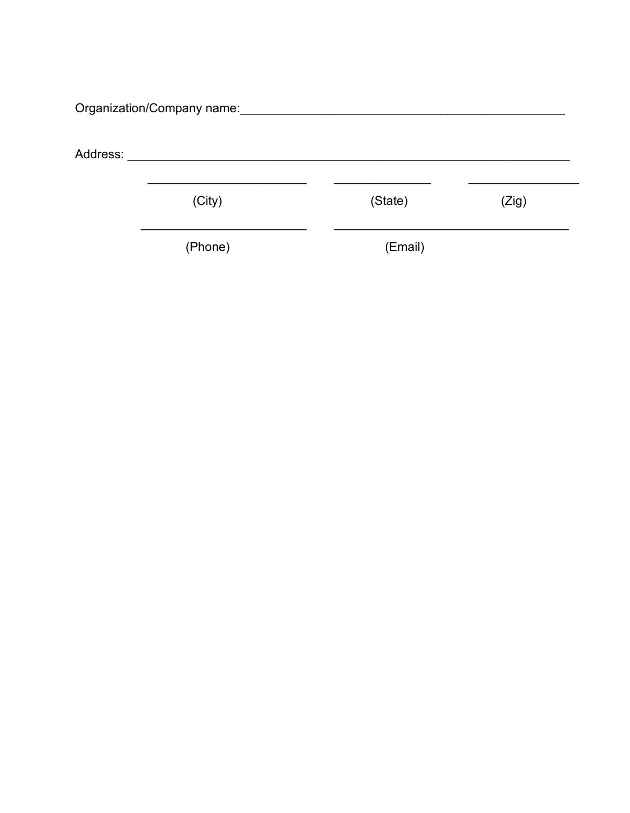|          | Organization/Company name: |         |       |
|----------|----------------------------|---------|-------|
| Address: |                            |         |       |
|          | (City)                     | (State) | (Zig) |
|          | (Phone)                    | (Email) |       |